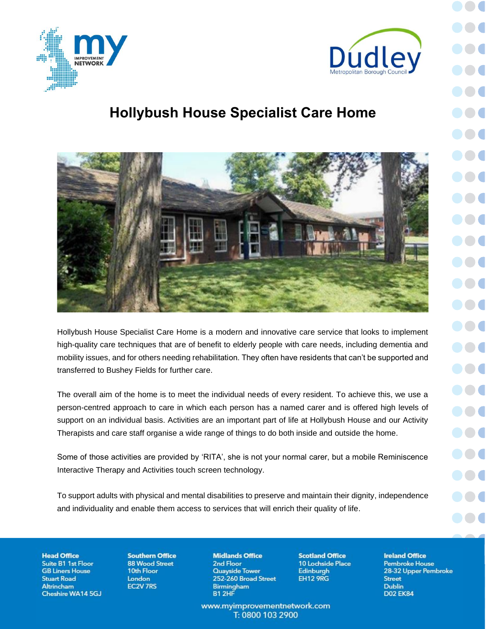

## **Hollybush House Specialist Care Home**



Hollybush House Specialist Care Home is a modern and innovative care service that looks to implement high-quality care techniques that are of benefit to elderly people with care needs, including dementia and mobility issues, and for others needing rehabilitation. They often have residents that can't be supported and transferred to Bushey Fields for further care.

The overall aim of the home is to meet the individual needs of every resident. To achieve this, we use a person-centred approach to care in which each person has a named carer and is offered high levels of support on an individual basis. Activities are an important part of life at Hollybush House and our Activity Therapists and care staff organise a wide range of things to do both inside and outside the home.

Some of those activities are provided by 'RITA', she is not your normal carer, but a mobile Reminiscence Interactive Therapy and Activities touch screen technology.

To support adults with physical and mental disabilities to preserve and maintain their dignity, independence and individuality and enable them access to services that will enrich their quality of life.

**Head Office** Suite B1 1st Floor **GB Liners House Stuart Road Altrincham** Cheshire WA14 5GJ **Southern Office 88 Wood Street** 10th Floor London **EC2V 7RS** 

**Midlands Office** 2nd Floor Quayside Tower 252-260 Broad Street **Birmingham** B1 2HF

www.myimprovementnetwork.com T: 0800 103 2900

**Scotland Office** 10 Lochside Place Edinburgh **EH12 9RG** 

**Ireland Office Pembroke House** 28-32 Upper Pembroke **Street Dublin D02 EK84**